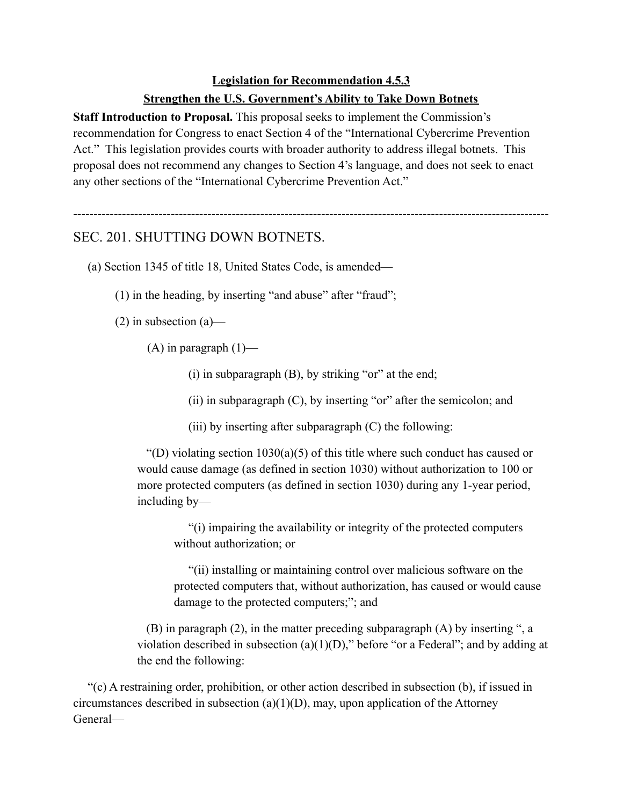## **Legislation for Recommendation 4.5.3**

## **Strengthen the U.S. Government's Ability to Take Down Botnets**

**Staff Introduction to Proposal.** This proposal seeks to implement the Commission's recommendation for Congress to enact Section 4 of the "International Cybercrime Prevention Act." This legislation provides courts with broader authority to address illegal botnets. This proposal does not recommend any changes to Section 4's language, and does not seek to enact any other sections of the "International Cybercrime Prevention Act."

---------------------------------------------------------------------------------------------------------------------

## SEC. 201. SHUTTING DOWN BOTNETS.

(a) Section 1345 of title 18, United States Code, is amended—

(1) in the heading, by inserting "and abuse" after "fraud";

 $(2)$  in subsection  $(a)$ —

 $(A)$  in paragraph  $(1)$ —

(i) in subparagraph (B), by striking "or" at the end;

(ii) in subparagraph  $(C)$ , by inserting "or" after the semicolon; and

(iii) by inserting after subparagraph  $(C)$  the following:

"(D) violating section  $1030(a)(5)$  of this title where such conduct has caused or would cause damage (as defined in section 1030) without authorization to 100 or more protected computers (as defined in section 1030) during any 1-year period, including by—

"(i) impairing the availability or integrity of the protected computers without authorization; or

"(ii) installing or maintaining control over malicious software on the protected computers that, without authorization, has caused or would cause damage to the protected computers;"; and

(B) in paragraph (2), in the matter preceding subparagraph (A) by inserting ", a violation described in subsection  $(a)(1)(D)$ ," before "or a Federal"; and by adding at the end the following:

"(c) A restraining order, prohibition, or other action described in subsection (b), if issued in circumstances described in subsection  $(a)(1)(D)$ , may, upon application of the Attorney General—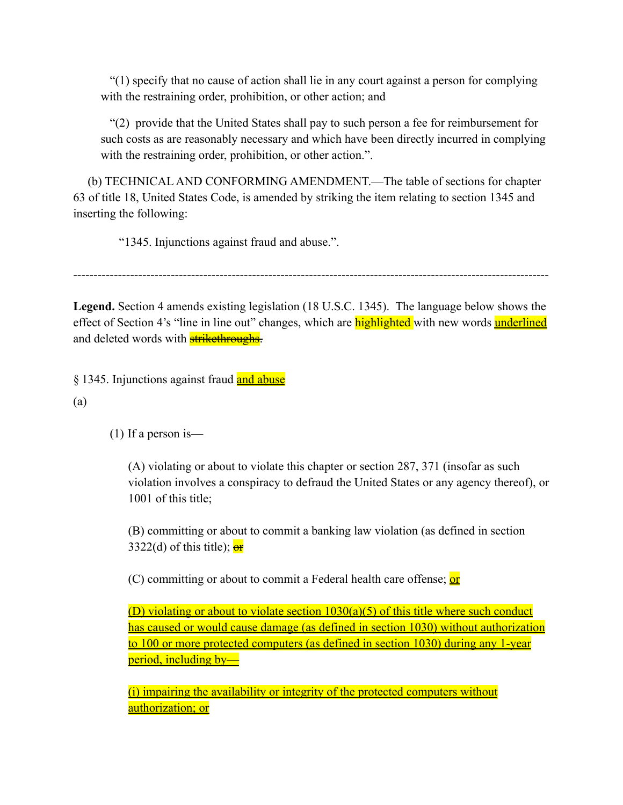"(1) specify that no cause of action shall lie in any court against a person for complying with the restraining order, prohibition, or other action; and

"(2) provide that the United States shall pay to such person a fee for reimbursement for such costs as are reasonably necessary and which have been directly incurred in complying with the restraining order, prohibition, or other action.".

(b) TECHNICAL AND CONFORMING AMENDMENT.—The table of sections for chapter 63 of title 18, United States Code, is amended by striking the item relating to section 1345 and inserting the following:

"1345. Injunctions against fraud and abuse.".

---------------------------------------------------------------------------------------------------------------------

**Legend.** Section 4 amends existing legislation (18 U.S.C. 1345). The language below shows the effect of Section 4's "line in line out" changes, which are **highlighted** with new words **underlined** and deleted words with **strikethroughs**.

§ 1345. Injunctions against fraud and abuse

(a)

(1) If a person is—

(A) violating or about to violate this chapter or section 287, 371 (insofar as such violation involves a conspiracy to defraud the United States or any agency thereof), or 1001 of this title;

(B) committing or about to commit a banking law violation (as defined in section 3322(d) of this title);  $\frac{\partial f}{\partial x}$ 

(C) committing or about to commit a Federal health care offense; or

(D) violating or about to violate section 1030(a)(5) of this title where such conduct has caused or would cause damage (as defined in section 1030) without authorization to 100 or more protected computers (as defined in section 1030) during any 1-year period, including by—

(i) impairing the availability or integrity of the protected computers without authorization; or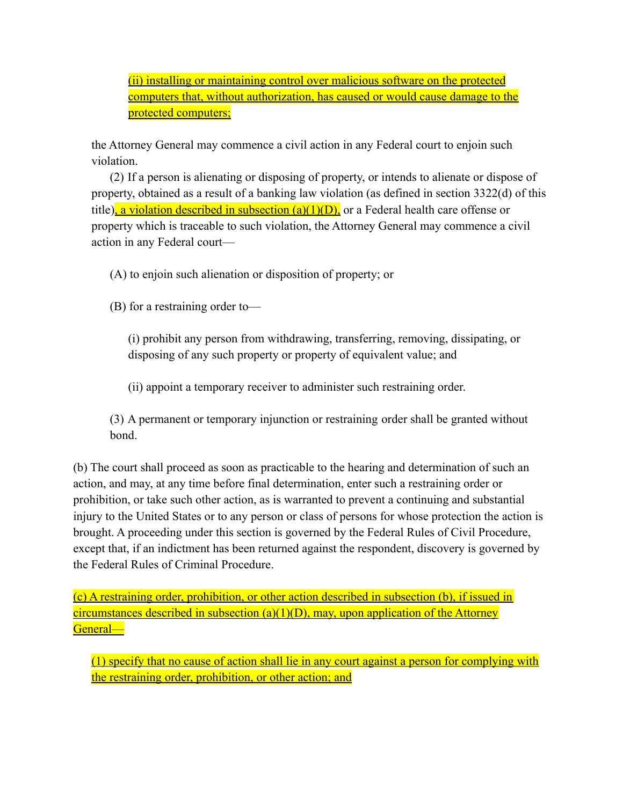(ii) installing or maintaining control over malicious software on the protected computers that, without authorization, has caused or would cause damage to the protected computers;

the Attorney General may commence a civil action in any Federal court to enjoin such violation.

(2) If a person is alienating or disposing of property, or intends to alienate or dispose of property, obtained as a result of a banking law violation (as defined in section 3322(d) of this title), a violation described in subsection  $(a)(1)(D)$ , or a Federal health care offense or property which is traceable to such violation, the Attorney General may commence a civil action in any Federal court—

(A) to enjoin such alienation or disposition of property; or

(B) for a restraining order to—

(i) prohibit any person from withdrawing, transferring, removing, dissipating, or disposing of any such property or property of equivalent value; and

(ii) appoint a temporary receiver to administer such restraining order.

(3) A permanent or temporary injunction or restraining order shall be granted without bond.

(b) The court shall proceed as soon as practicable to the hearing and determination of such an action, and may, at any time before final determination, enter such a restraining order or prohibition, or take such other action, as is warranted to prevent a continuing and substantial injury to the United States or to any person or class of persons for whose protection the action is brought. A proceeding under this section is governed by the Federal Rules of Civil Procedure, except that, if an indictment has been returned against the respondent, discovery is governed by the Federal Rules of Criminal Procedure.

(c) A restraining order, prohibition, or other action described in subsection (b), if issued in circumstances described in subsection (a)(1)(D), may, upon application of the Attorney General—

(1) specify that no cause of action shall lie in any court against a person for complying with the restraining order, prohibition, or other action; and